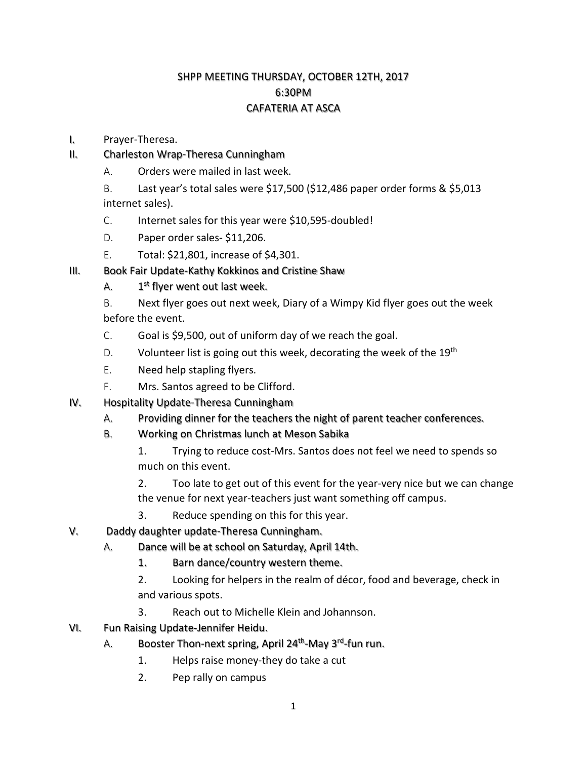## SHPP MEETING THURSDAY, OCTOBER 12TH, 2017 6:30PM CAFATERIA AT ASCA

- I. Prayer-Theresa.
- II. Charleston Wrap-Theresa Cunningham
	- A. Orders were mailed in last week.
	- B. Last year's total sales were \$17,500 (\$12,486 paper order forms & \$5,013 internet sales).
	- C. Internet sales for this year were \$10,595-doubled!
	- D. Paper order sales- \$11,206.
	- E. Total: \$21,801, increase of \$4,301.
- III. Book Fair Update-Kathy Kokkinos and Cristine Shaw
	- A.  $1^{st}$  flyer went out last week.
	- B. Next flyer goes out next week, Diary of a Wimpy Kid flyer goes out the week before the event.
	- C. Goal is \$9,500, out of uniform day of we reach the goal.
	- D. Volunteer list is going out this week, decorating the week of the 19<sup>th</sup>
	- E. Need help stapling flyers.
	- F. Mrs. Santos agreed to be Clifford.
- IV. Hospitality Update-Theresa Cunningham
	- A. Providing dinner for the teachers the night of parent teacher conferences.
	- B. Working on Christmas lunch at Meson Sabika
		- 1. Trying to reduce cost-Mrs. Santos does not feel we need to spends so much on this event.
		- 2. Too late to get out of this event for the year-very nice but we can change the venue for next year-teachers just want something off campus.
		- 3. Reduce spending on this for this year.
- V. Daddy daughter update-Theresa Cunningham.
	- A. Dance will be at school on Saturday, April 14th.
		- 1. Barn dance/country western theme.
		- 2. Looking for helpers in the realm of décor, food and beverage, check in and various spots.
		- 3. Reach out to Michelle Klein and Johannson.
- VI. Fun Raising Update-Jennifer Heidu.
	- A. Booster Thon-next spring, April 24<sup>th</sup>-May 3<sup>rd</sup>-fun run.
		- 1. Helps raise money-they do take a cut
		- 2. Pep rally on campus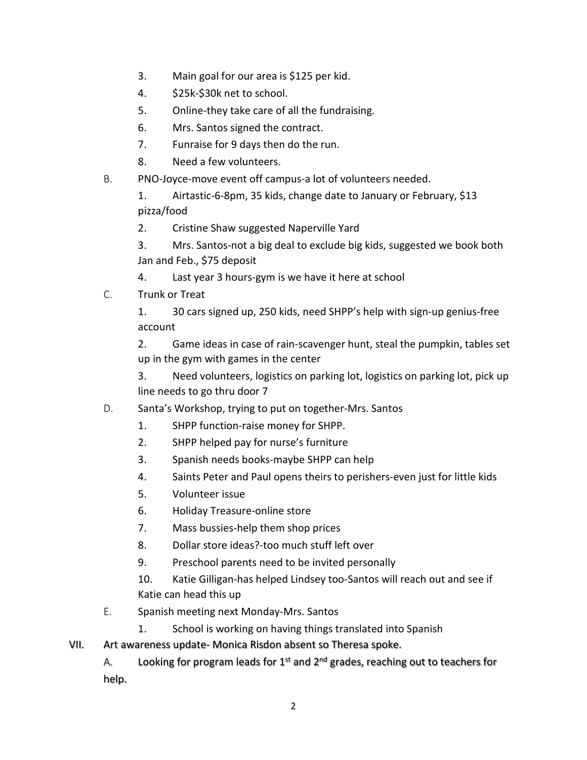- 3. Main goal for our area is \$125 per kid.
- 4. \$25k-\$30k net to school.
- 5. Online-they take care of all the fundraising.
- 6. Mrs. Santos signed the contract.
- 7. Funraise for 9 days then do the run.
- 8. Need a few volunteers.
- B. PNO-Joyce-move event off campus-a lot of volunteers needed.

1. Airtastic-6-8pm, 35 kids, change date to January or February, \$13 pizza/food

2. Cristine Shaw suggested Naperville Yard

3. Mrs. Santos-not a big deal to exclude big kids, suggested we book both Jan and Feb., \$75 deposit

- 4. Last year 3 hours-gym is we have it here at school
- C. Trunk or Treat

1. 30 cars signed up, 250 kids, need SHPP's help with sign-up genius-free account

2. Game ideas in case of rain-scavenger hunt, steal the pumpkin, tables set up in the gym with games in the center

3. Need volunteers, logistics on parking lot, logistics on parking lot, pick up line needs to go thru door 7

## D. Santa's Workshop, trying to put on together-Mrs. Santos

- 1. SHPP function-raise money for SHPP.
- 2. SHPP helped pay for nurse's furniture
- 3. Spanish needs books-maybe SHPP can help
- 4. Saints Peter and Paul opens theirs to perishers-even just for little kids
- 5. Volunteer issue
- 6. Holiday Treasure-online store
- 7. Mass bussies-help them shop prices
- 8. Dollar store ideas?-too much stuff left over
- 9. Preschool parents need to be invited personally

10. Katie Gilligan-has helped Lindsey too-Santos will reach out and see if Katie can head this up

- E. Spanish meeting next Monday-Mrs. Santos
	- 1. School is working on having things translated into Spanish
- VII. Art awareness update- Monica Risdon absent so Theresa spoke.

A. Looking for program leads for  $1<sup>st</sup>$  and  $2<sup>nd</sup>$  grades, reaching out to teachers for help.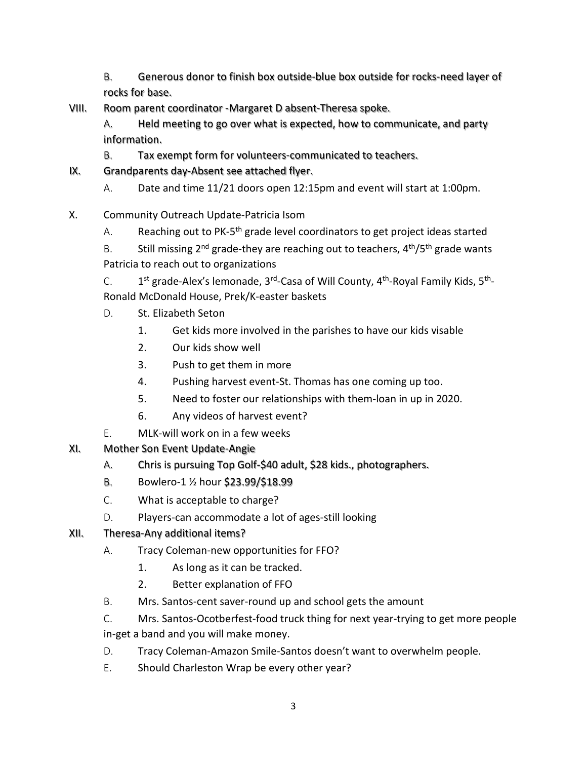- B. Generous donor to finish box outside-blue box outside for rocks-need layer of rocks for base.
- VIII. Room parent coordinator -Margaret D absent-Theresa spoke.
	- A. Held meeting to go over what is expected, how to communicate, and party information.
	- B. Tax exempt form for volunteers-communicated to teachers.
- IX. Grandparents day-Absent see attached flyer.
	- A. Date and time 11/21 doors open 12:15pm and event will start at 1:00pm.
- X. Community Outreach Update-Patricia Isom
	- A. Reaching out to PK-5<sup>th</sup> grade level coordinators to get project ideas started

B. Still missing  $2^{nd}$  grade-they are reaching out to teachers,  $4^{th}/5^{th}$  grade wants Patricia to reach out to organizations

C.  $1^{st}$  grade-Alex's lemonade, 3<sup>rd</sup>-Casa of Will County, 4<sup>th</sup>-Royal Family Kids, 5<sup>th</sup>-Ronald McDonald House, Prek/K-easter baskets

- D. St. Elizabeth Seton
	- 1. Get kids more involved in the parishes to have our kids visable
	- 2. Our kids show well
	- 3. Push to get them in more
	- 4. Pushing harvest event-St. Thomas has one coming up too.
	- 5. Need to foster our relationships with them-loan in up in 2020.
	- 6. Any videos of harvest event?
- E. MLK-will work on in a few weeks
- XI. Mother Son Event Update-Angie
	- A. Chris is pursuing Top Golf-\$40 adult, \$28 kids., photographers.
	- B. Bowlero-1 ½ hour \$23.99/\$18.99
	- C. What is acceptable to charge?
	- D. Players-can accommodate a lot of ages-still looking
- XII. Theresa-Any additional items?
	- A. Tracy Coleman-new opportunities for FFO?
		- 1. As long as it can be tracked.
		- 2. Better explanation of FFO
	- B. Mrs. Santos-cent saver-round up and school gets the amount
	- C. Mrs. Santos-Ocotberfest-food truck thing for next year-trying to get more people in-get a band and you will make money.
	- D. Tracy Coleman-Amazon Smile-Santos doesn't want to overwhelm people.
	- E. Should Charleston Wrap be every other year?